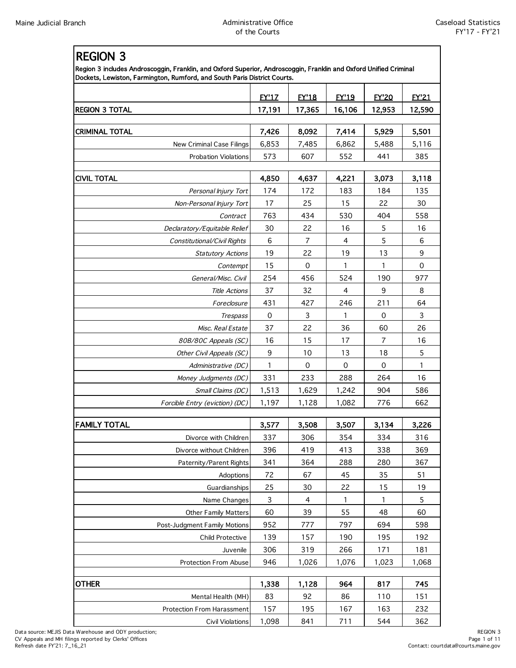| <b>REGION 3</b>                                                                                                                                                                               |              |              |              |              |              |
|-----------------------------------------------------------------------------------------------------------------------------------------------------------------------------------------------|--------------|--------------|--------------|--------------|--------------|
| Region 3 includes Androscoggin, Franklin, and Oxford Superior, Androscoggin, Franklin and Oxford Unified Criminal<br>Dockets, Lewiston, Farmington, Rumford, and South Paris District Courts. |              |              |              |              |              |
|                                                                                                                                                                                               | <b>EY'17</b> | <b>FY'18</b> | <b>EY'19</b> | <b>EY'20</b> | <b>FY'21</b> |
| REGION 3 TOTAL                                                                                                                                                                                | 17,191       | 17,365       | 16,106       | 12,953       | 12,590       |
| <b>CRIMINAL TOTAL</b>                                                                                                                                                                         | 7,426        | 8,092        | 7,414        | 5,929        | 5,501        |
| <b>New Criminal Case Filings</b>                                                                                                                                                              | 6,853        | 7,485        | 6,862        | 5,488        | 5,116        |
| <b>Probation Violations</b>                                                                                                                                                                   | 573          | 607          | 552          | 441          | 385          |
|                                                                                                                                                                                               |              |              |              |              |              |
| <b>CIVIL TOTAL</b>                                                                                                                                                                            | 4,850        | 4,637        | 4,221        | 3,073        | 3,118        |
| Personal Injury Tort                                                                                                                                                                          | 174          | 172          | 183          | 184          | 135          |
| Non-Personal Injury Tort                                                                                                                                                                      | 17           | 25           | 15           | 22           | 30           |
| Contract                                                                                                                                                                                      | 763          | 434          | 530          | 404          | 558          |
| Declaratory/Equitable Relief                                                                                                                                                                  | 30           | 22           | 16           | 5            | 16           |
| Constitutional/Civil Rights                                                                                                                                                                   | 6            | 7            | 4            | 5            | 6            |
| <b>Statutory Actions</b>                                                                                                                                                                      | 19           | 22           | 19           | 13           | 9            |
| Contempt                                                                                                                                                                                      | 15           | 0            | 1            | 1            | 0            |
| General/Misc. Civil                                                                                                                                                                           | 254          | 456          | 524          | 190          | 977          |
| <b>Title Actions</b>                                                                                                                                                                          | 37           | 32           | 4            | 9            | 8            |
| Foreclosure                                                                                                                                                                                   | 431          | 427          | 246          | 211          | 64           |
| Trespass                                                                                                                                                                                      | 0            | 3            | 1            | 0            | 3            |
| Misc. Real Estate                                                                                                                                                                             | 37           | 22           | 36           | 60           | 26           |
| 80B/80C Appeals (SC)                                                                                                                                                                          | 16           | 15           | 17           | 7            | 16           |
| Other Civil Appeals (SC)                                                                                                                                                                      | 9            | 10           | 13           | 18           | 5            |
| Administrative (DC)                                                                                                                                                                           | 1            | 0            | $\mathbf 0$  | 0            | 1            |
| Money Judgments (DC)                                                                                                                                                                          | 331          | 233          | 288          | 264          | 16           |
| Small Claims (DC)                                                                                                                                                                             | 1,513        | 1,629        | 1,242        | 904          | 586          |
| Forcible Entry (eviction) (DC)                                                                                                                                                                | 1,197        | 1,128        | 1,082        | 776          | 662          |
| <b>FAMILY TOTAL</b>                                                                                                                                                                           | 3,577        | 3,508        | 3,507        | 3,134        | 3,226        |
| Divorce with Children                                                                                                                                                                         | 337          | 306          | 354          | 334          | 316          |
| Divorce without Children                                                                                                                                                                      | 396          | 419          | 413          | 338          | 369          |
| Paternity/Parent Rights                                                                                                                                                                       | 341          | 364          | 288          | 280          | 367          |
| Adoptions                                                                                                                                                                                     | 72           | 67           | 45           | 35           | 51           |
| Guardianships                                                                                                                                                                                 | 25           | 30           | 22           | 15           | 19           |
| Name Changes                                                                                                                                                                                  | 3            | 4            | 1            | 1            | 5            |
| <b>Other Family Matters</b>                                                                                                                                                                   | 60           | 39           | 55           | 48           | 60           |
| Post-Judgment Family Motions                                                                                                                                                                  | 952          | 777          | 797          | 694          | 598          |
| Child Protective                                                                                                                                                                              | 139          | 157          | 190          | 195          | 192          |
| Juvenile                                                                                                                                                                                      | 306          | 319          | 266          | 171          | 181          |
| Protection From Abuse                                                                                                                                                                         | 946          | 1,026        | 1,076        | 1,023        | 1,068        |
|                                                                                                                                                                                               |              |              |              |              |              |
| <b>OTHER</b>                                                                                                                                                                                  | 1,338        | 1,128        | 964          | 817          | 745          |
| Mental Health (MH)                                                                                                                                                                            | 83           | 92           | 86           | 110          | 151          |
| Protection From Harassment                                                                                                                                                                    | 157          | 195          | 167          | 163          | 232          |
| Civil Violations                                                                                                                                                                              | 1,098        | 841          | 711          | 544          | 362          |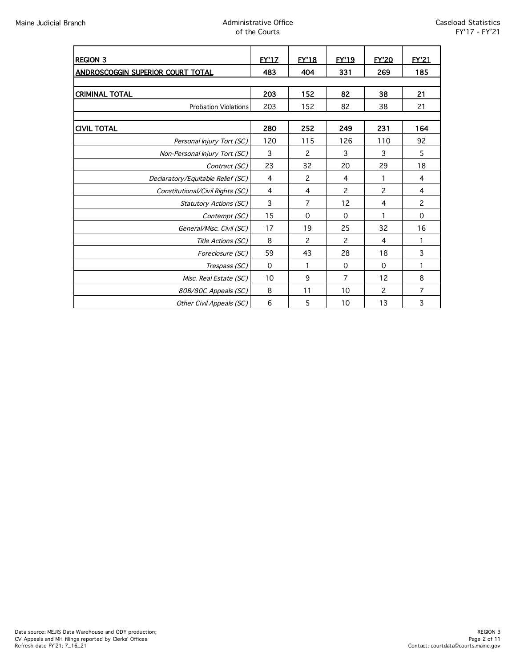| <b>REGION 3</b>                   | <b>FY'17</b> | <b>FY'18</b>   | <b>FY'19</b>   | <b>EY'20</b> | <b>FY'21</b>   |
|-----------------------------------|--------------|----------------|----------------|--------------|----------------|
| ANDROSCOGGIN SUPERIOR COURT TOTAL | 483          | 404            | 331            | 269          | 185            |
|                                   |              |                |                |              |                |
| <b>CRIMINAL TOTAL</b>             | 203          | 152            | 82             | 38           | 21             |
| <b>Probation Violations</b>       | 203          | 152            | 82             | 38           | 21             |
|                                   |              |                |                |              |                |
| <b>CIVIL TOTAL</b>                | 280          | 252            | 249            | 231          | 164            |
| Personal Injury Tort (SC)         | 120          | 115            | 126            | 110          | 92             |
| Non-Personal Injury Tort (SC)     | 3            | 2              | 3              | 3            | 5              |
| Contract (SC)                     | 23           | 32             | 20             | 29           | 18             |
| Declaratory/Equitable Relief (SC) | 4            | $\overline{c}$ | 4              | 1            | 4              |
| Constitutional/Civil Rights (SC)  | 4            | 4              | 2              | 2            | 4              |
| <b>Statutory Actions (SC)</b>     | 3            | 7              | 12             | 4            | $\overline{c}$ |
| Contempt (SC)                     | 15           | $\mathbf 0$    | $\Omega$       | 1            | $\Omega$       |
| General/Misc. Civil (SC)          | 17           | 19             | 25             | 32           | 16             |
| Title Actions (SC)                | 8            | 2              | 2              | 4            | 1              |
| Foreclosure (SC)                  | 59           | 43             | 28             | 18           | 3              |
| Trespass (SC)                     | $\mathbf 0$  | 1              | $\mathbf 0$    | 0            | 1              |
| Misc. Real Estate (SC)            | 10           | 9              | $\overline{7}$ | 12           | 8              |
| 80B/80C Appeals (SC)              | 8            | 11             | 10             | 2            | 7              |
| Other Civil Appeals (SC)          | 6            | 5              | 10             | 13           | 3              |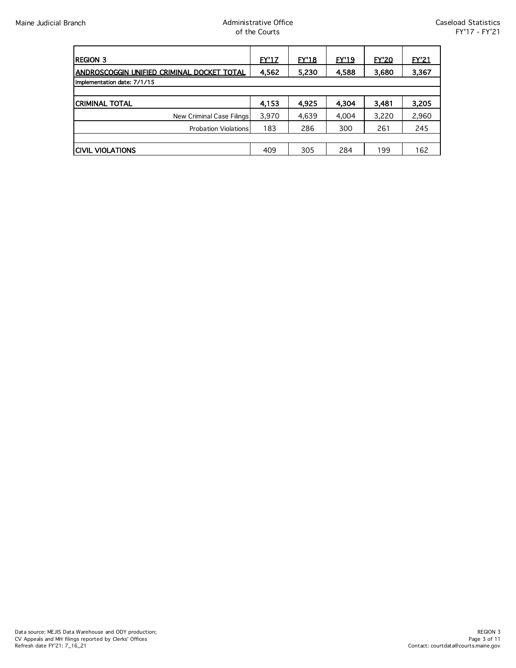| <b>REGION 3</b>                            | <b>EY'17</b> | EY'18 | EY'19 | <b>EY'20</b> | <b>EY'21</b> |
|--------------------------------------------|--------------|-------|-------|--------------|--------------|
| ANDROSCOGGIN UNIFIED CRIMINAL DOCKET TOTAL | 4,562        | 5,230 | 4,588 | 3,680        | 3,367        |
| Implementation date: 7/1/15                |              |       |       |              |              |
|                                            |              |       |       |              |              |
| <b>CRIMINAL TOTAL</b>                      | 4,153        | 4.925 | 4.304 | 3.481        | 3,205        |
| New Criminal Case Filings                  | 3,970        | 4,639 | 4,004 | 3,220        | 2,960        |
| <b>Probation Violations</b>                | 183          | 286   | 300   | 261          | 245          |
|                                            |              |       |       |              |              |
| <b>CIVIL VIOLATIONS</b>                    | 409          | 305   | 284   | 199          | 162          |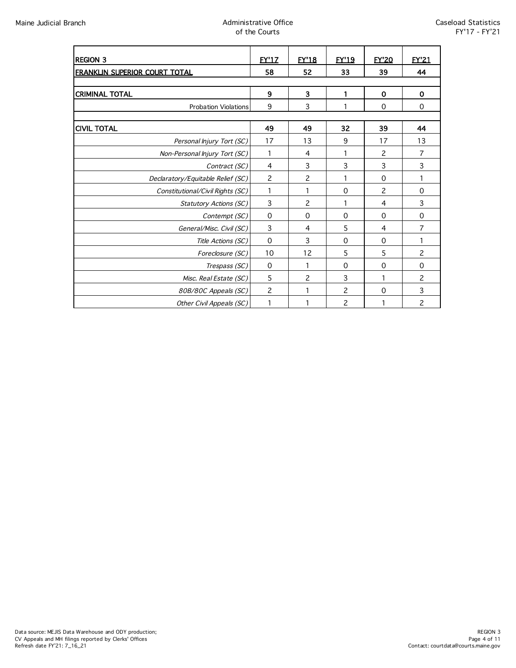| <b>REGION 3</b>                   | <b>FY'17</b>   | <b>FY'18</b>   | <b>FY'19</b>   | <b>FY'20</b> | <b>FY'21</b>   |
|-----------------------------------|----------------|----------------|----------------|--------------|----------------|
| FRANKLIN SUPERIOR COURT TOTAL     | 58             | 52             | 33             | 39           | 44             |
|                                   |                |                |                |              |                |
| <b>CRIMINAL TOTAL</b>             | 9              | 3              | 1              | $\mathbf 0$  | 0              |
| <b>Probation Violations</b>       | 9              | 3              | 1              | 0            | 0              |
|                                   |                |                |                |              |                |
| <b>CIVIL TOTAL</b>                | 49             | 49             | 32             | 39           | 44             |
| Personal Injury Tort (SC)         | 17             | 13             | 9              | 17           | 13             |
| Non-Personal Injury Tort (SC)     | 1              | 4              | 1              | 2            | 7              |
| Contract (SC)                     | 4              | 3              | 3              | 3            | 3              |
| Declaratory/Equitable Relief (SC) | $\overline{c}$ | $\overline{c}$ | 1              | 0            | 1              |
| Constitutional/Civil Rights (SC)  | 1              | 1              | 0              | 2            | 0              |
| <b>Statutory Actions (SC)</b>     | 3              | 2              | 1              | 4            | 3              |
| Contempt (SC)                     | $\mathbf 0$    | 0              | $\Omega$       | $\Omega$     | $\mathbf 0$    |
| General/Misc. Civil (SC)          | 3              | 4              | 5              | 4            | 7              |
| Title Actions (SC)                | 0              | 3              | 0              | 0            | 1              |
| Foreclosure (SC)                  | 10             | 12             | 5              | 5            | $\overline{c}$ |
| Trespass (SC)                     | $\mathbf 0$    | 1              | 0              | 0            | 0              |
| Misc. Real Estate (SC)            | 5              | $\overline{c}$ | 3              | 1            | $\overline{c}$ |
| 80B/80C Appeals (SC)              | 2              | 1              | 2              | 0            | 3              |
| Other Civil Appeals (SC)          |                |                | $\overline{c}$ |              | 2              |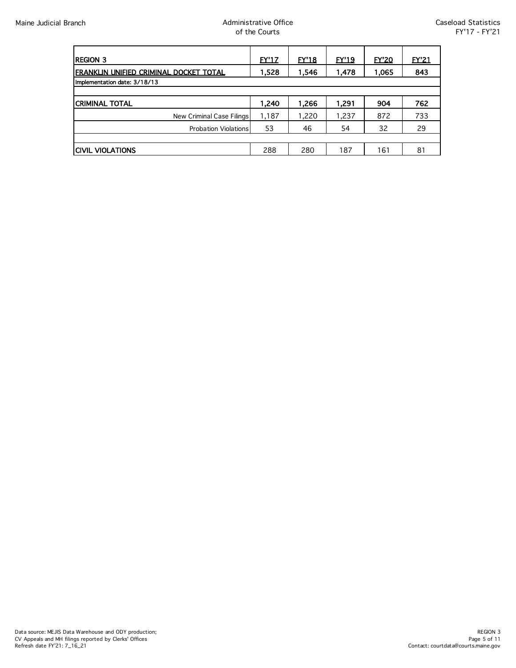| <b>REGION 3</b>                                | <u>EY'17</u> | EY'18 | <b>EY'19</b> | EY'20 | EY21 |
|------------------------------------------------|--------------|-------|--------------|-------|------|
| <u>IFRANKLIN UNIFIED CRIMINAL DOCKET TOTAL</u> | 1,528        | 1,546 | 1,478        | 1,065 | 843  |
| Implementation date: 3/18/13                   |              |       |              |       |      |
|                                                |              |       |              |       |      |
| <b>CRIMINAL TOTAL</b>                          | 1.240        | 1.266 | 1.291        | 904   | 762  |
| New Criminal Case Filings                      | 1,187        | 1,220 | 1,237        | 872   | 733  |
| <b>Probation Violations</b>                    | 53           | 46    | 54           | 32    | 29   |
|                                                |              |       |              |       |      |
| <b>CIVIL VIOLATIONS</b>                        | 288          | 280   | 187          | 161   | 81   |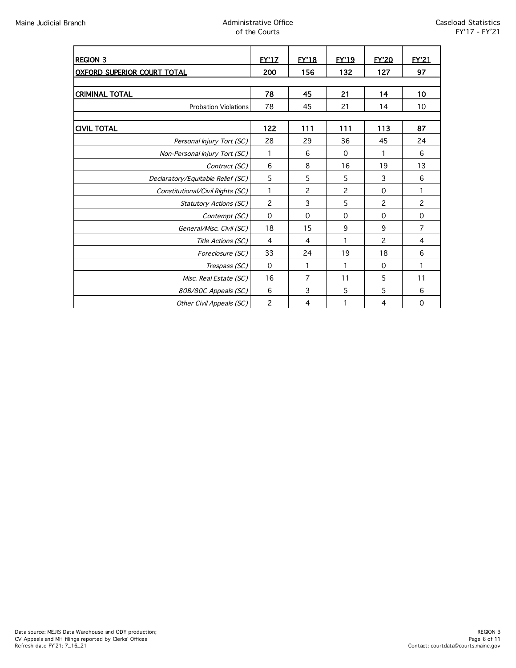| <b>REGION 3</b>                    | <b>FY'17</b>   | <b>FY'18</b> | <b>FY'19</b>   | <b>EY'20</b>   | EY'21          |
|------------------------------------|----------------|--------------|----------------|----------------|----------------|
| <b>OXFORD SUPERIOR COURT TOTAL</b> | 200            | 156          | 132            | 127            | 97             |
|                                    |                |              |                |                |                |
| <b>CRIMINAL TOTAL</b>              | 78             | 45           | 21             | 14             | 10             |
| <b>Probation Violations</b>        | 78             | 45           | 21             | 14             | 10             |
|                                    |                |              |                |                |                |
| <b>CIVIL TOTAL</b>                 | 122            | 111          | 111            | 113            | 87             |
| Personal Injury Tort (SC)          | 28             | 29           | 36             | 45             | 24             |
| Non-Personal Injury Tort (SC)      | 1              | 6            | $\mathbf 0$    | 1              | 6              |
| Contract (SC)                      | 6              | 8            | 16             | 19             | 13             |
| Declaratory/Equitable Relief (SC)  | 5              | 5            | 5              | 3              | 6              |
| Constitutional/Civil Rights (SC)   | 1              | 2            | $\overline{c}$ | 0              | 1              |
| <b>Statutory Actions (SC)</b>      | $\overline{c}$ | 3            | 5              | $\overline{c}$ | $\overline{c}$ |
| Contempt (SC)                      | $\mathbf 0$    | $\mathbf 0$  | 0              | $\Omega$       | $\mathbf 0$    |
| General/Misc. Civil (SC)           | 18             | 15           | 9              | 9              | $\overline{7}$ |
| Title Actions (SC)                 | $\overline{4}$ | 4            | 1              | $\overline{c}$ | 4              |
| Foreclosure (SC)                   | 33             | 24           | 19             | 18             | 6              |
| Trespass (SC)                      | $\mathbf 0$    | 1            | 1              | 0              | 1              |
| Misc. Real Estate (SC)             | 16             | 7            | 11             | 5              | 11             |
| 80B/80C Appeals (SC)               | 6              | 3            | 5              | 5              | 6              |
| Other Civil Appeals (SC)           | $\overline{c}$ | 4            |                | 4              | 0              |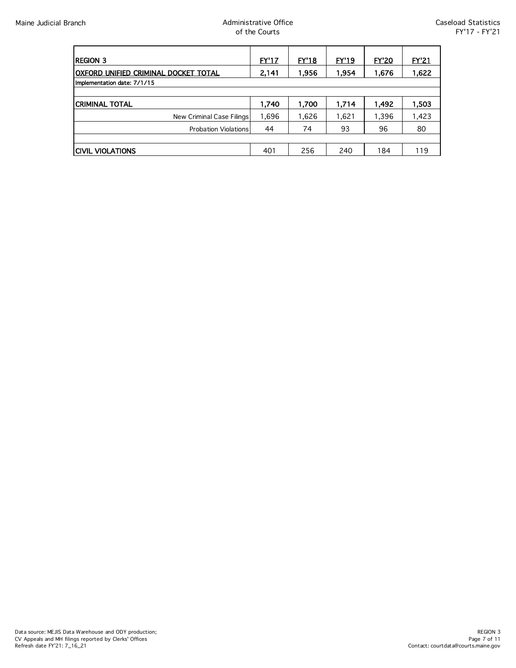| <b>REGION 3</b>                       | <b>EY'17</b> | <u>EY'18</u> | EY'19 | <b>EY'20</b> | <b>EY'21</b> |
|---------------------------------------|--------------|--------------|-------|--------------|--------------|
| IOXFORD UNIFIED CRIMINAL DOCKET TOTAL | 2,141        | 1,956        | 1,954 | 1,676        | 1,622        |
| Implementation date: 7/1/15           |              |              |       |              |              |
|                                       |              |              |       |              |              |
| <b>CRIMINAL TOTAL</b>                 | 1,740        | 1,700        | 1,714 | 1,492        | 1,503        |
| New Criminal Case Filings             | 1,696        | 1,626        | 1,621 | 1,396        | 1,423        |
| <b>Probation Violations</b>           | 44           | 74           | 93    | 96           | 80           |
|                                       |              |              |       |              |              |
| <b>CIVIL VIOLATIONS</b>               | 401          | 256          | 240   | 184          | 119          |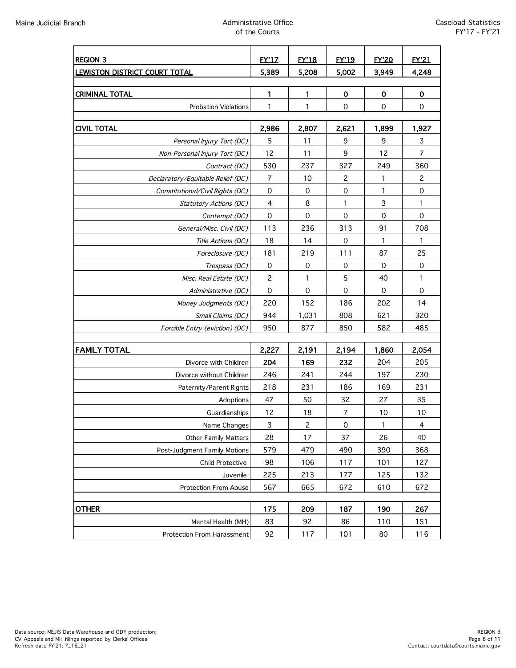### Maine Judicial Branch Administrative Office of the Courts

| <b>REGION 3</b>                                         | EY'1Z       | <b>EY'18</b>        | EY'19                     | <b>EY'20</b>        | <b>EY'21</b>        |
|---------------------------------------------------------|-------------|---------------------|---------------------------|---------------------|---------------------|
| <b>LEWISTON DISTRICT COURT TOTAL</b>                    | 5,389       | 5.208               | 5,002                     | 3,949               | 4,248               |
|                                                         |             |                     |                           |                     |                     |
| <b>CRIMINAL TOTAL</b>                                   | 1           | 1                   | $\mathbf 0$               | $\mathbf 0$         | $\mathbf 0$         |
| <b>Probation Violations</b>                             | 1           | 1                   | $\mathbf 0$               | $\mathbf 0$         | $\mathsf{O}\xspace$ |
| <b>CIVIL TOTAL</b>                                      | 2,986       | 2,807               | 2,621                     | 1,899               | 1,927               |
| Personal Injury Tort (DC)                               | 5           | 11                  | 9                         | 9                   | 3                   |
| Non-Personal Injury Tort (DC)                           | 12          | 11                  | 9                         | 12                  | $\overline{7}$      |
| Contract (DC)                                           | 530         | 237                 | 327                       | 249                 | 360                 |
| Declaratory/Equitable Relief (DC)                       | 7           | 10                  | 2                         | 1                   | 2                   |
| Constitutional/Civil Rights (DC)                        | $\pmb{0}$   | $\mathbf 0$         | $\mathbf 0$               | 1                   | 0                   |
| <b>Statutory Actions (DC)</b>                           | 4           | 8                   | 1                         | 3                   | 1                   |
| Contempt (DC)                                           | $\mathbf 0$ | $\mathsf{O}\xspace$ | $\mathbf 0$               | $\mathbf 0$         | $\mathbf 0$         |
| General/Misc. Civil (DC)                                | 113         | 236                 | 313                       | 91                  | 708                 |
| Title Actions (DC)                                      | 18          | 14                  | $\mathbf 0$               | 1                   | 1                   |
| Foreclosure (DC)                                        | 181         | 219                 | 111                       | 87                  | 25                  |
| Trespass (DC)                                           | $\mathbf 0$ | $\mathsf{O}\xspace$ | 0                         | $\mathbf 0$         | $\mathsf{O}\xspace$ |
| Misc. Real Estate (DC)                                  | 2           | 1                   | 5                         | 40                  | 1                   |
| Administrative (DC)                                     | $\mathbf 0$ | $\mathbf 0$         | $\mathbf 0$               | $\mathsf{O}\xspace$ | $\mathsf{O}\xspace$ |
| Money Judgments (DC)                                    | 220         | 152                 | 186                       | 202                 | 14                  |
| Small Claims (DC)                                       | 944         | 1,031               | 808                       | 621                 | 320                 |
| Forcible Entry (eviction) (DC)                          | 950         | 877                 | 850                       | 582                 | 485                 |
|                                                         |             |                     |                           |                     |                     |
| <b>FAMILY TOTAL</b>                                     | 2,227       | 2,191               | 2,194                     | 1,860               | 2,054               |
| Divorce with Children                                   | 204         | 169                 | 232                       | 204                 | 205                 |
| Divorce without Children                                | 246         | 241                 | 244                       | 197                 | 230                 |
| Paternity/Parent Rights                                 | 218         | 231                 | 186                       | 169                 | 231                 |
| Adoptions                                               | 47          | 50                  | 32                        | 27                  | 35                  |
| Guardianships                                           | 12          | 18                  | $\overline{7}$            | 10                  | 10                  |
| Name Changes<br><b>Other Family Matters</b>             | 3<br>28     | 2<br>17             | $\mathsf{O}\xspace$<br>37 | 1<br>26             | 4<br>40             |
|                                                         | 579         | 479                 | 490                       |                     | 368                 |
| Post-Judgment Family Motions<br><b>Child Protective</b> | 98          | 106                 | 117                       | 390<br>101          | 127                 |
| Juvenile                                                | 225         | 213                 | 177                       | 125                 | 132                 |
| <b>Protection From Abuse</b>                            | 567         | 665                 | 672                       | 610                 | 672                 |
|                                                         |             |                     |                           |                     |                     |
| <b>OTHER</b>                                            | 175         | 209                 | 187                       | 190                 | 267                 |
| Mental Health (MH)                                      | 83          | 92                  | 86                        | 110                 | 151                 |
| <b>Protection From Harassment</b>                       | 92          | 117                 | 101                       | 80                  | 116                 |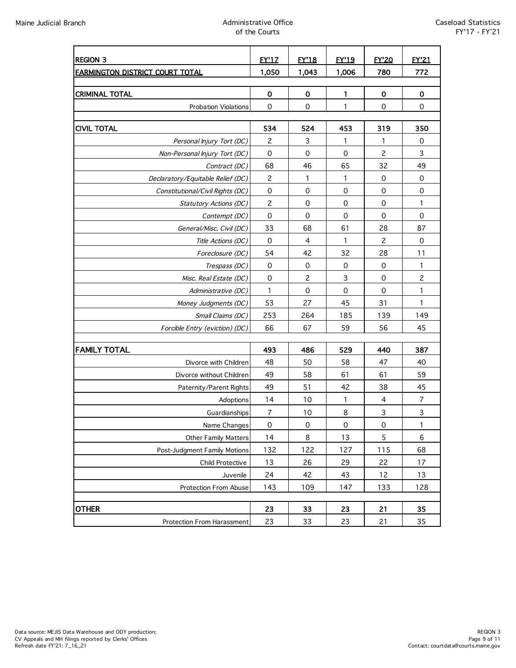| <b>REGION 3</b>                        | <b>FY'17</b>        | <b>EY'18</b>        | <b>EY'19</b> | <b>EY'20</b>        | <b>EY'21</b>   |
|----------------------------------------|---------------------|---------------------|--------------|---------------------|----------------|
| <b>FARMINGTON DISTRICT COURT TOTAL</b> | 1,050               | 1,043               | 1,006        | 780                 | 772            |
|                                        |                     |                     |              |                     |                |
| <b>CRIMINAL TOTAL</b>                  | 0                   | 0                   | 1            | $\mathbf 0$         | $\mathbf 0$    |
| <b>Probation Violations</b>            | $\mathbf 0$         | $\mathbf 0$         | 1            | $\mathbf 0$         | $\pmb{0}$      |
|                                        |                     |                     |              |                     |                |
| <b>CIVIL TOTAL</b>                     | 534                 | 524                 | 453          | 319                 | 350            |
| Personal Injury Tort (DC)              | 2                   | 3                   | 1            | 1                   | 0              |
| Non-Personal Injury Tort (DC)          | $\pmb{0}$           | 0                   | $\mathbf 0$  | 2                   | 3              |
| Contract (DC)                          | 68                  | 46                  | 65           | 32                  | 49             |
| Declaratory/Equitable Relief (DC)      | 2                   | 1                   | 1            | 0                   | $\pmb{0}$      |
| Constitutional/Civil Rights (DC)       | $\mathsf{O}\xspace$ | $\mathsf{O}\xspace$ | $\mathbf 0$  | 0                   | $\mathbf 0$    |
| <b>Statutory Actions (DC)</b>          | $\overline{c}$      | $\mathbf 0$         | $\mathbf 0$  | $\mathsf{O}\xspace$ | 1              |
| Contempt (DC)                          | $\mathbf 0$         | $\mathbf 0$         | $\mathbf 0$  | $\mathbf 0$         | $\mathbf 0$    |
| General/Misc. Civil (DC)               | 33                  | 68                  | 61           | 28                  | 87             |
| Title Actions (DC)                     | $\mathbf 0$         | $\overline{4}$      | 1            | $\overline{c}$      | $\mathbf 0$    |
| Foreclosure (DC)                       | 54                  | 42                  | 32           | 28                  | 11             |
| Trespass (DC)                          | $\boldsymbol{0}$    | 0                   | 0            | $\mathbf 0$         | 1              |
| Misc. Real Estate (DC)                 | $\mathsf 0$         | $\overline{c}$      | $\mathsf 3$  | $\mathsf{O}\xspace$ | $\overline{c}$ |
| Administrative (DC)                    | $\mathbf{1}$        | $\mathbf 0$         | $\mathbf 0$  | $\mathbf 0$         | 1              |
| Money Judgments (DC)                   | 53                  | 27                  | 45           | 31                  | 1              |
| Small Claims (DC)                      | 253                 | 264                 | 185          | 139                 | 149            |
| Forcible Entry (eviction) (DC)         | 66                  | 67                  | 59           | 56                  | 45             |
| <b>FAMILY TOTAL</b>                    | 493                 | 486                 | 529          | 440                 | 387            |
| Divorce with Children                  | 48                  | 50                  | 58           | 47                  | 40             |
| Divorce without Children               | 49                  | 58                  | 61           | 61                  | 59             |
| Paternity/Parent Rights                | 49                  | 51                  | 42           | 38                  | 45             |
| Adoptions                              | 14                  | 10                  | 1            | 4                   | $\overline{7}$ |
| Guardianships                          | $\overline{7}$      | 10                  | 8            | $\mathsf 3$         | $\mathsf 3$    |
| Name Changes                           | $\mathsf{O}\xspace$ | 0                   | $\pmb{0}$    | $\mathsf{O}\xspace$ | 1              |
| <b>Other Family Matters</b>            | 14                  | 8                   | 13           | 5                   | $\,6$          |
| Post-Judgment Family Motions           | 132                 | 122                 | 127          | 115                 | 68             |
| Child Protective                       | 13                  | 26                  | 29           | 22                  | 17             |
| Juvenile                               | 24                  | 42                  | 43           | 12                  | 13             |
| <b>Protection From Abuse</b>           | 143                 | 109                 | 147          | 133                 | 128            |
|                                        |                     |                     |              |                     |                |
| <b>OTHER</b>                           | 23                  | 33                  | 23           | 21                  | 35             |
| Protection From Harassment             | 23                  | 33                  | 23           | 21                  | 35             |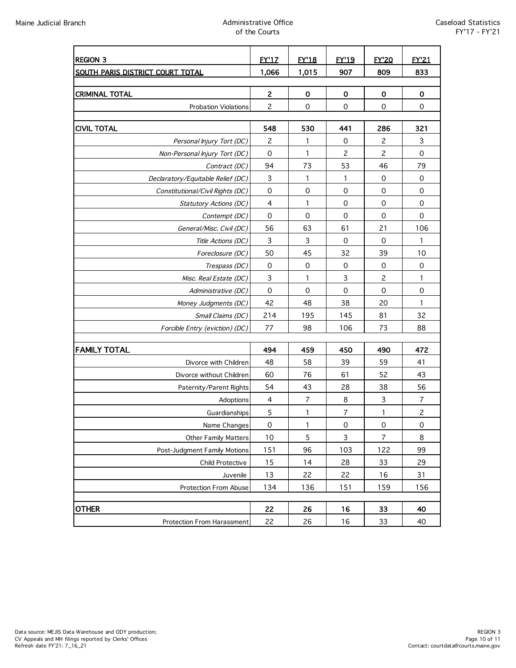### Maine Judicial Branch Administrative Office of the Courts

| <b>REGION 3</b>                   | <b>EY'17</b>            | <u>FY'18</u>        | <b>FY'19</b>        | <b>EY'20</b>   | <b>EY'21</b>   |
|-----------------------------------|-------------------------|---------------------|---------------------|----------------|----------------|
| SOUTH PARIS DISTRICT COURT TOTAL  | 1,066                   | 1,015               | 907                 | 809            | 833            |
|                                   |                         |                     |                     |                |                |
| <b>CRIMINAL TOTAL</b>             | $\overline{\mathbf{c}}$ | 0                   | $\mathbf 0$         | 0              | $\mathbf 0$    |
| <b>Probation Violations</b>       | $\overline{c}$          | $\mathsf{O}\xspace$ | $\mathbf 0$         | 0              | $\pmb{0}$      |
|                                   |                         |                     |                     |                |                |
| <b>CIVIL TOTAL</b>                | 548                     | 530                 | 441                 | 286            | 321            |
| Personal Injury Tort (DC)         | 2                       | 1                   | 0                   | $\overline{c}$ | 3              |
| Non-Personal Injury Tort (DC)     | 0                       | 1                   | 2                   | $\mathsf{S}$   | $\pmb{0}$      |
| Contract (DC)                     | 94                      | 73                  | 53                  | 46             | 79             |
| Declaratory/Equitable Relief (DC) | 3                       | 1                   | 1                   | 0              | $\mathbf 0$    |
| Constitutional/Civil Rights (DC)  | 0                       | 0                   | 0                   | 0              | $\mathbf 0$    |
| Statutory Actions (DC)            | 4                       | 1                   | 0                   | 0              | 0              |
| Contempt (DC)                     | $\mathbf 0$             | $\mathbf 0$         | $\mathbf 0$         | $\mathbf 0$    | $\mathbf 0$    |
| General/Misc. Civil (DC)          | 56                      | 63                  | 61                  | 21             | 106            |
| Title Actions (DC)                | $\mathbf{3}$            | 3                   | $\mathbf 0$         | $\mathbf 0$    | 1              |
| Foreclosure (DC)                  | 50                      | 45                  | 32                  | 39             | 10             |
| Trespass (DC)                     | $\mbox{O}$              | $\mathsf{O}\xspace$ | $\mathbf 0$         | $\mathbf 0$    | $\mathbf 0$    |
| Misc. Real Estate (DC)            | 3                       | 1                   | 3                   | $\overline{c}$ | 1              |
| Administrative (DC)               | $\mathsf{O}\xspace$     | 0                   | $\mathbf 0$         | 0              | $\mathbf 0$    |
| Money Judgments (DC)              | 42                      | 48                  | 38                  | 20             | 1              |
| Small Claims (DC)                 | 214                     | 195                 | 145                 | 81             | 32             |
| Forcible Entry (eviction) (DC)    | 77                      | 98                  | 106                 | 73             | 88             |
|                                   |                         |                     |                     |                |                |
| <b>FAMILY TOTAL</b>               | 494                     | 459                 | 450                 | 490            | 472            |
| Divorce with Children             | 48                      | 58                  | 39                  | 59             | 41             |
| Divorce without Children          | 60                      | 76                  | 61                  | 52             | 43             |
| Paternity/Parent Rights           | 54                      | 43                  | 28                  | 38             | 56             |
| Adoptions                         | $\overline{4}$          | $\overline{7}$      | 8                   | 3              | 7              |
| Guardianships                     | 5                       | 1                   | $\boldsymbol{7}$    | 1              | $\overline{c}$ |
| Name Changes                      | $\mathsf{O}\xspace$     | 1                   | $\mathsf{O}\xspace$ | $\mathsf O$    | 0              |
| <b>Other Family Matters</b>       | 10                      | 5                   | 3                   | $\overline{7}$ | 8              |
| Post-Judgment Family Motions      | 151                     | 96                  | 103                 | 122            | 99             |
| Child Protective                  | 15                      | 14                  | 28                  | 33             | 29             |
| Juvenile                          | 13                      | 22                  | 22                  | 16             | 31             |
| Protection From Abuse             | 134                     | 136                 | 151                 | 159            | 156            |
|                                   |                         |                     |                     |                |                |
| <b>OTHER</b>                      | 22                      | 26                  | 16                  | 33             | 40             |
| Protection From Harassment        | 22                      | 26                  | 16                  | 33             | 40             |